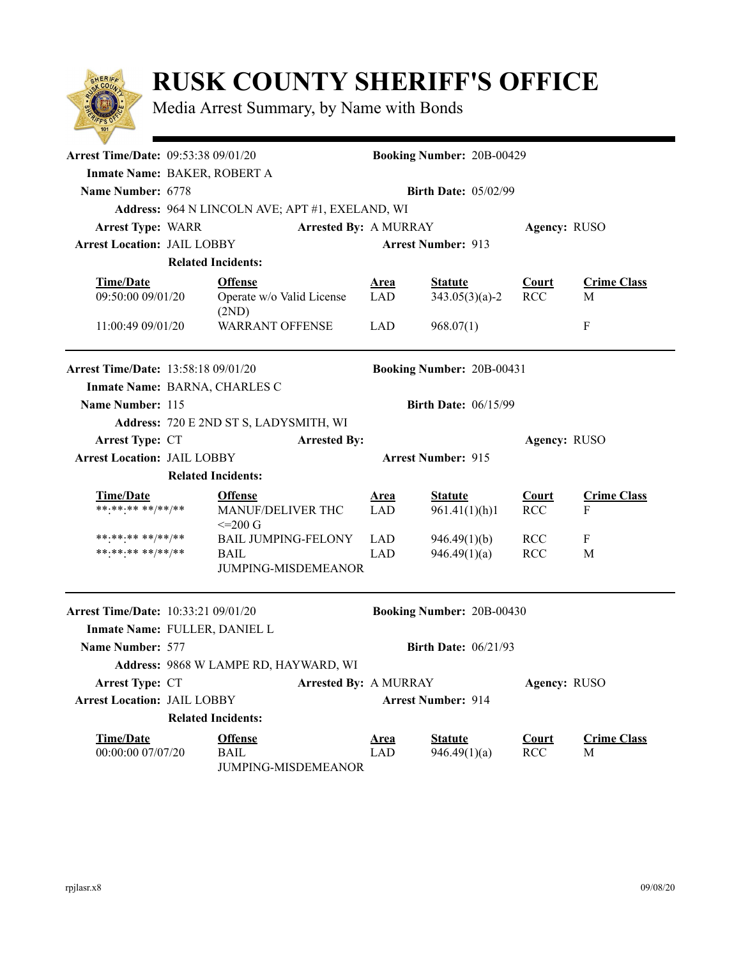

## **RUSK COUNTY SHERIFF'S OFFICE**

Media Arrest Summary, by Name with Bonds

| Arrest Time/Date: 09:53:38 09/01/20                                         |                                                                 |                                                                         |                           | <b>Booking Number: 20B-00429</b>   |                            |                         |  |  |  |  |  |
|-----------------------------------------------------------------------------|-----------------------------------------------------------------|-------------------------------------------------------------------------|---------------------------|------------------------------------|----------------------------|-------------------------|--|--|--|--|--|
|                                                                             | Inmate Name: BAKER, ROBERT A                                    |                                                                         |                           |                                    |                            |                         |  |  |  |  |  |
| Name Number: 6778                                                           | <b>Birth Date: 05/02/99</b>                                     |                                                                         |                           |                                    |                            |                         |  |  |  |  |  |
|                                                                             | Address: 964 N LINCOLN AVE; APT #1, EXELAND, WI                 |                                                                         |                           |                                    |                            |                         |  |  |  |  |  |
| <b>Arrest Type: WARR</b>                                                    |                                                                 | <b>Arrested By: A MURRAY</b>                                            |                           |                                    | Agency: RUSO               |                         |  |  |  |  |  |
| <b>Arrest Location: JAIL LOBBY</b>                                          |                                                                 |                                                                         | <b>Arrest Number: 913</b> |                                    |                            |                         |  |  |  |  |  |
|                                                                             | <b>Related Incidents:</b>                                       |                                                                         |                           |                                    |                            |                         |  |  |  |  |  |
| <b>Time/Date</b><br>09:50:00 09/01/20                                       |                                                                 | <b>Offense</b><br>Operate w/o Valid License<br>(2ND)                    | <b>Area</b><br><b>LAD</b> | <b>Statute</b><br>$343.05(3)(a)-2$ | <b>Court</b><br><b>RCC</b> | <b>Crime Class</b><br>M |  |  |  |  |  |
| 11:00:49 09/01/20                                                           |                                                                 | <b>WARRANT OFFENSE</b>                                                  | <b>LAD</b>                | 968.07(1)                          |                            | F                       |  |  |  |  |  |
| <b>Arrest Time/Date: 13:58:18 09/01/20</b><br>Inmate Name: BARNA, CHARLES C |                                                                 |                                                                         |                           | <b>Booking Number: 20B-00431</b>   |                            |                         |  |  |  |  |  |
| Name Number: 115                                                            | <b>Birth Date: 06/15/99</b>                                     |                                                                         |                           |                                    |                            |                         |  |  |  |  |  |
|                                                                             |                                                                 | Address: 720 E 2ND ST S, LADYSMITH, WI                                  |                           |                                    |                            |                         |  |  |  |  |  |
| <b>Arrest Type: CT</b>                                                      |                                                                 | <b>Arrested By:</b>                                                     |                           |                                    | Agency: RUSO               |                         |  |  |  |  |  |
|                                                                             | <b>Arrest Location: JAIL LOBBY</b><br><b>Arrest Number: 915</b> |                                                                         |                           |                                    |                            |                         |  |  |  |  |  |
|                                                                             |                                                                 | <b>Related Incidents:</b>                                               |                           |                                    |                            |                         |  |  |  |  |  |
| <b>Time/Date</b><br>******* **/**/**                                        |                                                                 | <b>Offense</b><br>MANUF/DELIVER THC<br>$\leq$ 200 G                     | <b>Area</b><br><b>LAD</b> | <b>Statute</b><br>961.41(1)(h)1    | <b>Court</b><br><b>RCC</b> | <b>Crime Class</b><br>F |  |  |  |  |  |
| **·**·** **/**/**<br>******** **/**/**                                      |                                                                 | <b>BAIL JUMPING-FELONY</b><br><b>BAIL</b><br><b>JUMPING-MISDEMEANOR</b> | <b>LAD</b><br><b>LAD</b>  | 946.49(1)(b)<br>946.49(1)(a)       | <b>RCC</b><br><b>RCC</b>   | F<br>M                  |  |  |  |  |  |
| <b>Arrest Time/Date:</b> 10:33:21 09/01/20                                  |                                                                 |                                                                         |                           | <b>Booking Number: 20B-00430</b>   |                            |                         |  |  |  |  |  |
| Inmate Name: FULLER, DANIEL L                                               |                                                                 |                                                                         |                           |                                    |                            |                         |  |  |  |  |  |
| Name Number: 577                                                            | <b>Birth Date: 06/21/93</b>                                     |                                                                         |                           |                                    |                            |                         |  |  |  |  |  |
|                                                                             |                                                                 | Address: 9868 W LAMPE RD, HAYWARD, WI                                   |                           |                                    |                            |                         |  |  |  |  |  |
| Arrest Type: CT<br><b>Arrested By: A MURRAY</b>                             |                                                                 |                                                                         |                           | Agency: RUSO                       |                            |                         |  |  |  |  |  |
|                                                                             | <b>Arrest Location: JAIL LOBBY</b>                              |                                                                         |                           | <b>Arrest Number: 914</b>          |                            |                         |  |  |  |  |  |
|                                                                             |                                                                 | <b>Related Incidents:</b>                                               |                           |                                    |                            |                         |  |  |  |  |  |
| <b>Time/Date</b><br>00:00:00 07/07/20                                       |                                                                 | <b>Offense</b><br><b>BAIL</b><br>JUMPING-MISDEMEANOR                    | <b>Area</b><br><b>LAD</b> | <b>Statute</b><br>946.49(1)(a)     | <b>Court</b><br><b>RCC</b> | <b>Crime Class</b><br>M |  |  |  |  |  |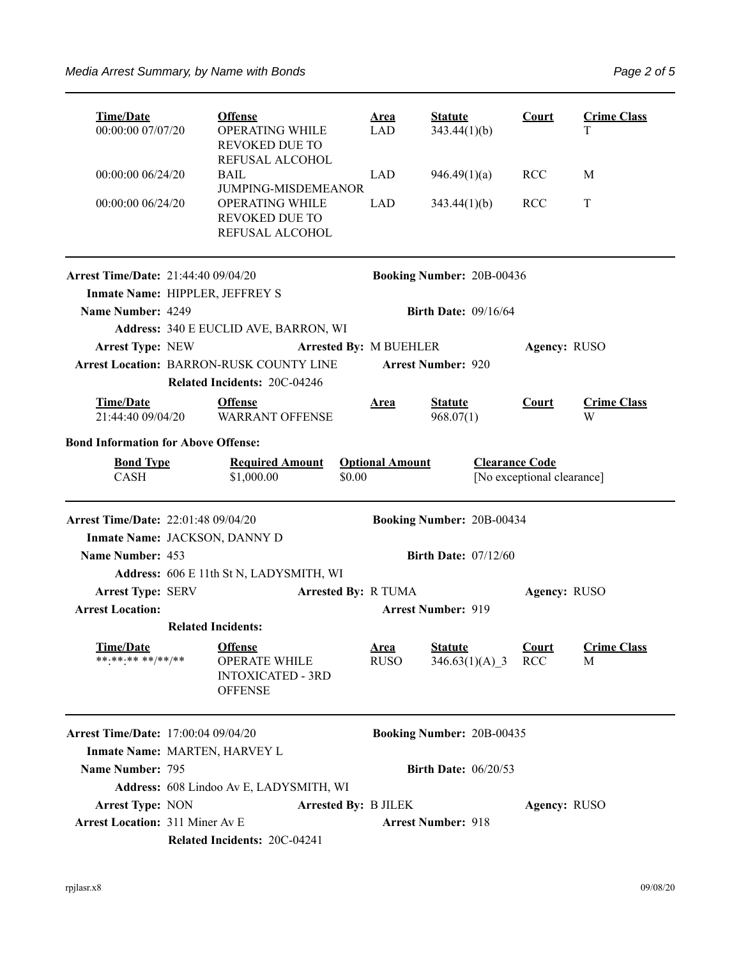| <b>Time/Date</b><br>00:00:00 07/07/20                                       |                                                | <b>Offense</b><br><b>OPERATING WHILE</b><br>REVOKED DUE TO                           |                             | <u>Area</u><br>LAD                                                            | <b>Statute</b><br>343.44(1)(b)     |  | <b>Court</b>        | <b>Crime Class</b><br>T |  |
|-----------------------------------------------------------------------------|------------------------------------------------|--------------------------------------------------------------------------------------|-----------------------------|-------------------------------------------------------------------------------|------------------------------------|--|---------------------|-------------------------|--|
| 00:00:00 06/24/20                                                           |                                                | REFUSAL ALCOHOL<br><b>BAIL</b><br>JUMPING-MISDEMEANOR                                |                             | <b>LAD</b>                                                                    | 946.49(1)(a)                       |  | <b>RCC</b>          | M                       |  |
| 00:00:00 06/24/20                                                           |                                                | OPERATING WHILE<br><b>REVOKED DUE TO</b><br>REFUSAL ALCOHOL                          |                             | <b>LAD</b>                                                                    | 343.44(1)(b)                       |  | <b>RCC</b>          | T                       |  |
| <b>Arrest Time/Date: 21:44:40 09/04/20</b>                                  |                                                |                                                                                      |                             |                                                                               | <b>Booking Number: 20B-00436</b>   |  |                     |                         |  |
| Inmate Name: HIPPLER, JEFFREY S                                             |                                                |                                                                                      |                             |                                                                               |                                    |  |                     |                         |  |
| Name Number: 4249                                                           |                                                |                                                                                      |                             |                                                                               | Birth Date: $09/16/64$             |  |                     |                         |  |
|                                                                             |                                                | Address: 340 E EUCLID AVE, BARRON, WI                                                |                             |                                                                               |                                    |  |                     |                         |  |
| <b>Arrest Type: NEW</b>                                                     |                                                |                                                                                      | Arrested By: M BUEHLER      |                                                                               |                                    |  | Agency: RUSO        |                         |  |
| Arrest Location: BARRON-RUSK COUNTY LINE                                    |                                                |                                                                                      |                             |                                                                               | <b>Arrest Number: 920</b>          |  |                     |                         |  |
|                                                                             |                                                | Related Incidents: 20C-04246                                                         |                             |                                                                               |                                    |  |                     |                         |  |
| <b>Time/Date</b><br>21:44:40 09/04/20                                       |                                                | <b>Offense</b><br><b>WARRANT OFFENSE</b>                                             |                             | <b>Area</b>                                                                   | <b>Statute</b><br>968.07(1)        |  | <b>Court</b>        | <b>Crime Class</b><br>W |  |
| <b>Bond Information for Above Offense:</b>                                  |                                                |                                                                                      |                             |                                                                               |                                    |  |                     |                         |  |
| <b>Bond Type</b><br><b>CASH</b>                                             | <b>Required Amount</b><br>\$0.00<br>\$1,000.00 |                                                                                      |                             | <b>Clearance Code</b><br><b>Optional Amount</b><br>[No exceptional clearance] |                                    |  |                     |                         |  |
| <b>Arrest Time/Date: 22:01:48 09/04/20</b><br>Inmate Name: JACKSON, DANNY D |                                                |                                                                                      |                             |                                                                               | <b>Booking Number: 20B-00434</b>   |  |                     |                         |  |
| Name Number: 453                                                            |                                                |                                                                                      |                             | <b>Birth Date: 07/12/60</b>                                                   |                                    |  |                     |                         |  |
|                                                                             |                                                | Address: 606 E 11th St N, LADYSMITH, WI                                              |                             |                                                                               |                                    |  |                     |                         |  |
| <b>Arrest Type: SERV</b>                                                    | <b>Arrested By: R TUMA</b>                     |                                                                                      |                             |                                                                               |                                    |  | Agency: RUSO        |                         |  |
| <b>Arrest Location:</b>                                                     |                                                |                                                                                      |                             | <b>Arrest Number: 919</b>                                                     |                                    |  |                     |                         |  |
|                                                                             | <b>Related Incidents:</b>                      |                                                                                      |                             |                                                                               |                                    |  |                     |                         |  |
| Time/Date<br>******** **/**/**                                              |                                                | <b>Offense</b><br><b>OPERATE WHILE</b><br><b>INTOXICATED - 3RD</b><br><b>OFFENSE</b> |                             | <b>Area</b><br><b>RUSO</b>                                                    | <b>Statute</b><br>$346.63(1)(A)$ 3 |  | Court<br><b>RCC</b> | <b>Crime Class</b><br>М |  |
| <b>Arrest Time/Date:</b> 17:00:04 09/04/20                                  |                                                |                                                                                      |                             |                                                                               | Booking Number: 20B-00435          |  |                     |                         |  |
| Inmate Name: MARTEN, HARVEY L                                               |                                                |                                                                                      |                             |                                                                               |                                    |  |                     |                         |  |
| Name Number: 795                                                            |                                                |                                                                                      |                             |                                                                               | <b>Birth Date: 06/20/53</b>        |  |                     |                         |  |
|                                                                             |                                                | Address: 608 Lindoo Av E, LADYSMITH, WI                                              |                             |                                                                               |                                    |  |                     |                         |  |
| <b>Arrest Type: NON</b>                                                     |                                                |                                                                                      | <b>Arrested By: B JILEK</b> |                                                                               |                                    |  | Agency: RUSO        |                         |  |
| <b>Arrest Location: 311 Miner Av E</b>                                      |                                                |                                                                                      |                             |                                                                               | <b>Arrest Number: 918</b>          |  |                     |                         |  |
|                                                                             |                                                | Related Incidents: 20C-04241                                                         |                             |                                                                               |                                    |  |                     |                         |  |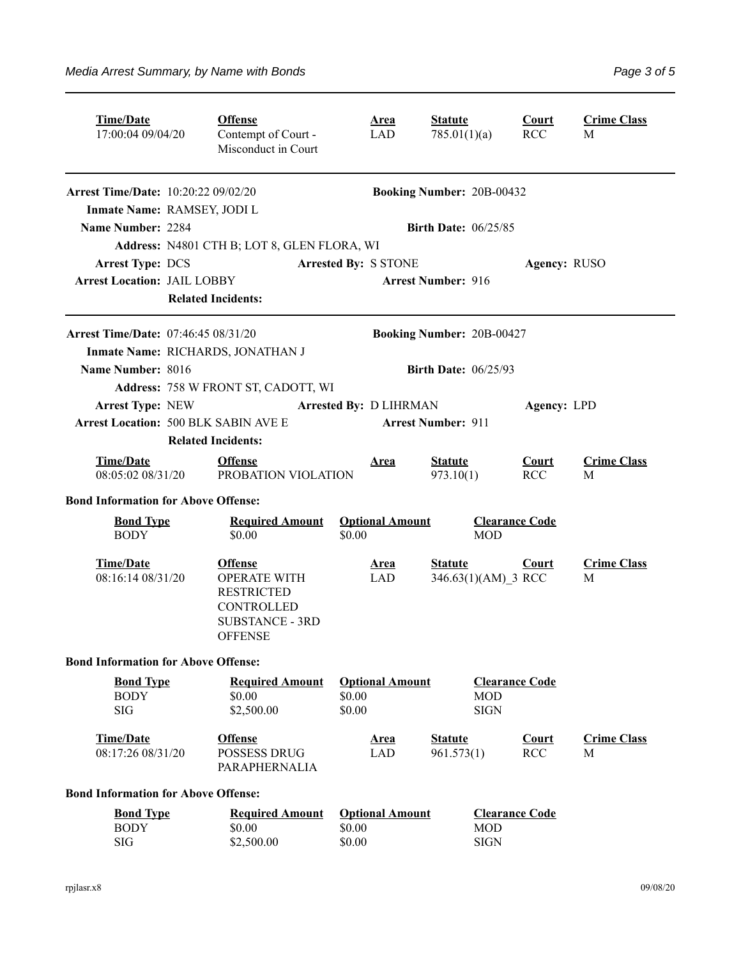| <b>Time/Date</b><br>17:00:04 09/04/20                                                                                                                           |                           | <b>Offense</b><br>Contempt of Court -<br>Misconduct in Court                                                                                             | <b>Area</b><br>LAD                                                      | <b>Statute</b><br>785.01(1)(a)                                                               |                                                            | <b>Court</b><br><b>RCC</b> | <b>Crime Class</b><br>M |
|-----------------------------------------------------------------------------------------------------------------------------------------------------------------|---------------------------|----------------------------------------------------------------------------------------------------------------------------------------------------------|-------------------------------------------------------------------------|----------------------------------------------------------------------------------------------|------------------------------------------------------------|----------------------------|-------------------------|
| <b>Arrest Time/Date:</b> 10:20:22 09/02/20<br>Inmate Name: RAMSEY, JODI L<br>Name Number: 2284<br><b>Arrest Type: DCS</b><br><b>Arrest Location: JAIL LOBBY</b> | <b>Related Incidents:</b> | Address: N4801 CTH B; LOT 8, GLEN FLORA, WI                                                                                                              | <b>Arrested By: S STONE</b>                                             | <b>Booking Number: 20B-00432</b><br><b>Birth Date: 06/25/85</b><br><b>Arrest Number: 916</b> |                                                            | Agency: RUSO               |                         |
| Arrest Time/Date: 07:46:45 08/31/20<br>Name Number: 8016<br>Arrest Type: NEW                                                                                    |                           | Inmate Name: RICHARDS, JONATHAN J<br>Address: 758 W FRONT ST, CADOTT, WI                                                                                 | <b>Arrested By: D LIHRMAN</b>                                           | <b>Booking Number: 20B-00427</b><br><b>Birth Date: 06/25/93</b>                              |                                                            | Agency: LPD                |                         |
| <b>Arrest Location: 500 BLK SABIN AVE E</b><br><b>Time/Date</b><br>08:05:02 08/31/20                                                                            | <b>Related Incidents:</b> | <b>Offense</b><br>PROBATION VIOLATION                                                                                                                    | <b>Area</b>                                                             | <b>Arrest Number: 911</b><br><b>Statute</b><br>973.10(1)                                     |                                                            | <b>Court</b><br><b>RCC</b> | <b>Crime Class</b><br>M |
| <b>Bond Information for Above Offense:</b><br><b>Bond Type</b><br><b>BODY</b><br><b>Time/Date</b><br>08:16:14 08/31/20                                          |                           | <b>Required Amount</b><br>\$0.00<br><b>Offense</b><br><b>OPERATE WITH</b><br><b>RESTRICTED</b><br>CONTROLLED<br><b>SUBSTANCE - 3RD</b><br><b>OFFENSE</b> | <b>Optional Amount</b><br>\$0.00<br><b>Area</b><br>LAD                  | <b>Statute</b>                                                                               | <b>Clearance Code</b><br><b>MOD</b><br>346.63(1)(AM) 3 RCC | Court                      | <b>Crime Class</b><br>M |
| <b>Bond Information for Above Offense:</b><br><b>Bond Type</b><br><b>BODY</b><br>$\rm SIG$<br><b>Time/Date</b><br>08:17:26 08/31/20                             |                           | <b>Required Amount</b><br>\$0.00<br>\$2,500.00<br><b>Offense</b><br><b>POSSESS DRUG</b><br>PARAPHERNALIA                                                 | <b>Optional Amount</b><br>\$0.00<br>\$0.00<br><b>Area</b><br><b>LAD</b> | <b>Statute</b><br>961.573(1)                                                                 | <b>Clearance Code</b><br><b>MOD</b><br><b>SIGN</b>         | Court<br><b>RCC</b>        | <b>Crime Class</b><br>M |
| <b>Bond Information for Above Offense:</b><br><b>Bond Type</b><br><b>BODY</b><br><b>SIG</b>                                                                     |                           | <b>Required Amount</b><br>\$0.00<br>\$2,500.00                                                                                                           | <b>Optional Amount</b><br>\$0.00<br>\$0.00                              |                                                                                              | <b>Clearance Code</b><br><b>MOD</b><br><b>SIGN</b>         |                            |                         |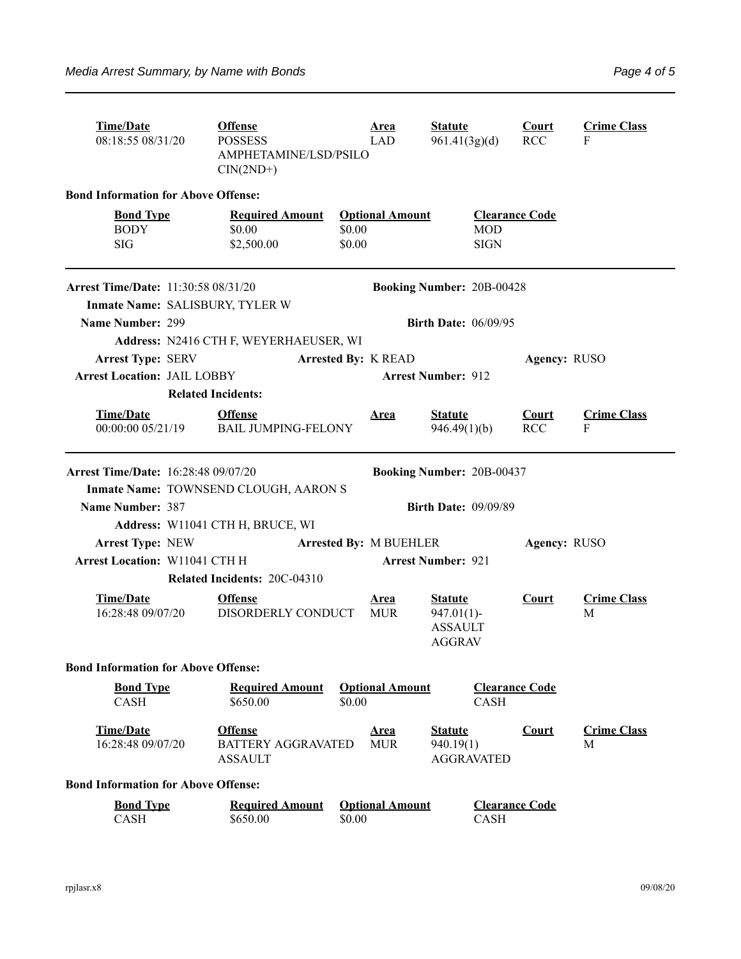| <b>Time/Date</b><br>08:18:55 08/31/20                                         | <b>Offense</b><br><b>POSSESS</b><br>AMPHETAMINE/LSD/PSILO<br>$CIN(2ND+)$ |                  | <u>Area</u><br>LAD               | <b>Statute</b><br>961.41(3g)(d)                                    |                                                    | <b>Court</b><br><b>RCC</b> | <b>Crime Class</b><br>F |  |  |  |
|-------------------------------------------------------------------------------|--------------------------------------------------------------------------|------------------|----------------------------------|--------------------------------------------------------------------|----------------------------------------------------|----------------------------|-------------------------|--|--|--|
| <b>Bond Information for Above Offense:</b>                                    |                                                                          |                  |                                  |                                                                    |                                                    |                            |                         |  |  |  |
| <b>Bond Type</b><br><b>BODY</b><br><b>SIG</b>                                 | <b>Required Amount</b><br>\$0.00<br>\$2,500.00                           | \$0.00<br>\$0.00 | <b>Optional Amount</b>           |                                                                    | <b>Clearance Code</b><br><b>MOD</b><br><b>SIGN</b> |                            |                         |  |  |  |
| <b>Arrest Time/Date: 11:30:58 08/31/20</b><br>Inmate Name: SALISBURY, TYLER W |                                                                          |                  | <b>Booking Number: 20B-00428</b> |                                                                    |                                                    |                            |                         |  |  |  |
| Name Number: 299                                                              | Address: N2416 CTH F, WEYERHAEUSER, WI                                   |                  |                                  | <b>Birth Date: 06/09/95</b>                                        |                                                    |                            |                         |  |  |  |
| <b>Arrest Type: SERV</b><br><b>Arrest Location: JAIL LOBBY</b>                |                                                                          |                  | <b>Arrested By: K READ</b>       | <b>Arrest Number: 912</b>                                          |                                                    |                            | Agency: RUSO            |  |  |  |
|                                                                               | <b>Related Incidents:</b>                                                |                  |                                  |                                                                    |                                                    |                            |                         |  |  |  |
| <b>Time/Date</b><br>00:00:00 05/21/19                                         | <b>Offense</b><br><b>BAIL JUMPING-FELONY</b>                             |                  | <b>Area</b>                      | <b>Statute</b><br>946.49(1)(b)                                     |                                                    | <b>Court</b><br><b>RCC</b> | <b>Crime Class</b><br>F |  |  |  |
| <b>Arrest Time/Date: 16:28:48 09/07/20</b>                                    |                                                                          |                  |                                  | <b>Booking Number: 20B-00437</b>                                   |                                                    |                            |                         |  |  |  |
|                                                                               | Inmate Name: TOWNSEND CLOUGH, AARON S                                    |                  |                                  |                                                                    |                                                    |                            |                         |  |  |  |
| Name Number: 387                                                              |                                                                          |                  |                                  | <b>Birth Date: 09/09/89</b>                                        |                                                    |                            |                         |  |  |  |
| <b>Arrest Type: NEW</b>                                                       | Address: W11041 CTH H, BRUCE, WI                                         |                  | <b>Arrested By: M BUEHLER</b>    |                                                                    |                                                    | Agency: RUSO               |                         |  |  |  |
| <b>Arrest Location: W11041 CTH H</b>                                          | <b>Arrest Number: 921</b>                                                |                  |                                  |                                                                    |                                                    |                            |                         |  |  |  |
|                                                                               | Related Incidents: 20C-04310                                             |                  |                                  |                                                                    |                                                    |                            |                         |  |  |  |
| <b>Time/Date</b><br>16:28:48 09/07/20                                         | <b>Offense</b><br>DISORDERLY CONDUCT                                     |                  | <b>Area</b><br><b>MUR</b>        | <b>Statute</b><br>$947.01(1)$ -<br><b>ASSAULT</b><br><b>AGGRAV</b> |                                                    | <b>Court</b>               | <b>Crime Class</b><br>M |  |  |  |
| <b>Bond Information for Above Offense:</b>                                    |                                                                          |                  |                                  |                                                                    |                                                    |                            |                         |  |  |  |
| <b>Bond Type</b><br><b>CASH</b>                                               | <b>Required Amount</b><br>\$650.00                                       | \$0.00           | <b>Optional Amount</b>           |                                                                    | <b>Clearance Code</b><br><b>CASH</b>               |                            |                         |  |  |  |
| <b>Time/Date</b><br>16:28:48 09/07/20                                         | <b>Offense</b><br><b>BATTERY AGGRAVATED</b><br><b>ASSAULT</b>            |                  | <b>Area</b><br><b>MUR</b>        | <b>Statute</b><br>940.19(1)<br><b>AGGRAVATED</b>                   |                                                    | Court                      | <b>Crime Class</b><br>М |  |  |  |
| <b>Bond Information for Above Offense:</b>                                    |                                                                          |                  |                                  |                                                                    |                                                    |                            |                         |  |  |  |
| <b>Bond Type</b><br>CASH                                                      | <b>Required Amount</b><br>\$650.00                                       | \$0.00           | <b>Optional Amount</b>           |                                                                    | <b>Clearance Code</b><br><b>CASH</b>               |                            |                         |  |  |  |